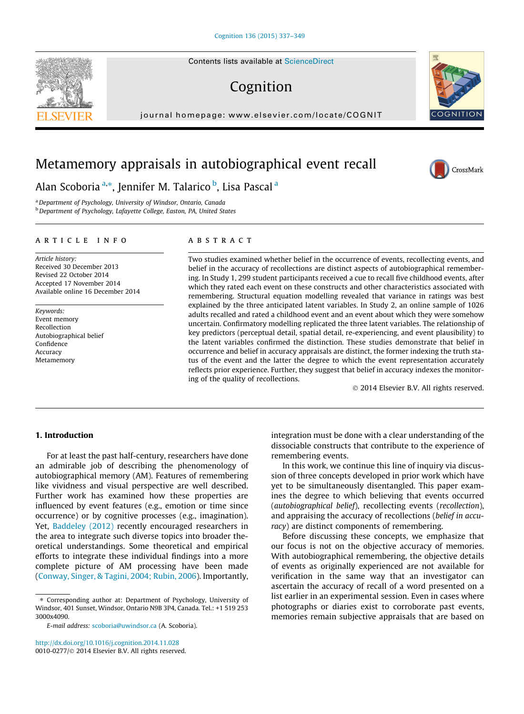Contents lists available at [ScienceDirect](http://www.sciencedirect.com/science/journal/00100277)

# Cognition

journal homepage: [www.elsevier.com/locate/COGNIT](http://www.elsevier.com/locate/COGNIT)

# Metamemory appraisals in autobiographical event recall

Alan Scoboria <sup>a,</sup>\*, Jennifer M. Talarico <sup>b</sup>, Lisa Pascal <sup>a</sup>

<sup>a</sup> Department of Psychology, University of Windsor, Ontario, Canada **b** Department of Psychology, Lafayette College, Easton, PA, United States

#### article info

Article history: Received 30 December 2013 Revised 22 October 2014 Accepted 17 November 2014 Available online 16 December 2014

Keywords: Event memory Recollection Autobiographical belief Confidence Accuracy Metamemory

# **ABSTRACT**

Two studies examined whether belief in the occurrence of events, recollecting events, and belief in the accuracy of recollections are distinct aspects of autobiographical remembering. In Study 1, 299 student participants received a cue to recall five childhood events, after which they rated each event on these constructs and other characteristics associated with remembering. Structural equation modelling revealed that variance in ratings was best explained by the three anticipated latent variables. In Study 2, an online sample of 1026 adults recalled and rated a childhood event and an event about which they were somehow uncertain. Confirmatory modelling replicated the three latent variables. The relationship of key predictors (perceptual detail, spatial detail, re-experiencing, and event plausibility) to the latent variables confirmed the distinction. These studies demonstrate that belief in occurrence and belief in accuracy appraisals are distinct, the former indexing the truth status of the event and the latter the degree to which the event representation accurately reflects prior experience. Further, they suggest that belief in accuracy indexes the monitoring of the quality of recollections.

- 2014 Elsevier B.V. All rights reserved.

#### 1. Introduction

For at least the past half-century, researchers have done an admirable job of describing the phenomenology of autobiographical memory (AM). Features of remembering like vividness and visual perspective are well described. Further work has examined how these properties are influenced by event features (e.g., emotion or time since occurrence) or by cognitive processes (e.g., imagination). Yet, [Baddeley \(2012\)](#page-10-0) recently encouraged researchers in the area to integrate such diverse topics into broader theoretical understandings. Some theoretical and empirical efforts to integrate these individual findings into a more complete picture of AM processing have been made ([Conway, Singer, & Tagini, 2004; Rubin, 2006](#page-11-0)). Importantly,

<http://dx.doi.org/10.1016/j.cognition.2014.11.028> 0010-0277/© 2014 Elsevier B.V. All rights reserved.

integration must be done with a clear understanding of the dissociable constructs that contribute to the experience of remembering events.

In this work, we continue this line of inquiry via discussion of three concepts developed in prior work which have yet to be simultaneously disentangled. This paper examines the degree to which believing that events occurred (autobiographical belief), recollecting events (recollection), and appraising the accuracy of recollections (belief in accuracy) are distinct components of remembering.

Before discussing these concepts, we emphasize that our focus is not on the objective accuracy of memories. With autobiographical remembering, the objective details of events as originally experienced are not available for verification in the same way that an investigator can ascertain the accuracy of recall of a word presented on a list earlier in an experimental session. Even in cases where photographs or diaries exist to corroborate past events, memories remain subjective appraisals that are based on







<sup>⇑</sup> Corresponding author at: Department of Psychology, University of Windsor, 401 Sunset, Windsor, Ontario N9B 3P4, Canada. Tel.: +1 519 253 3000x4090.

E-mail address: [scoboria@uwindsor.ca](mailto:scoboria@uwindsor.ca) (A. Scoboria).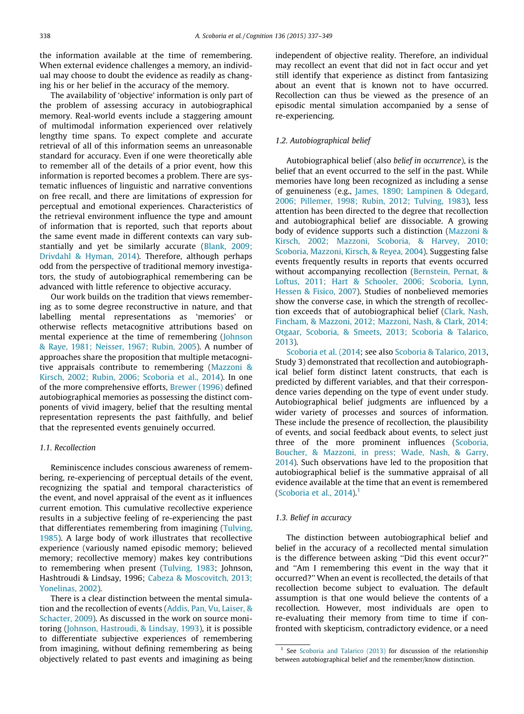the information available at the time of remembering. When external evidence challenges a memory, an individual may choose to doubt the evidence as readily as changing his or her belief in the accuracy of the memory.

The availability of 'objective' information is only part of the problem of assessing accuracy in autobiographical memory. Real-world events include a staggering amount of multimodal information experienced over relatively lengthy time spans. To expect complete and accurate retrieval of all of this information seems an unreasonable standard for accuracy. Even if one were theoretically able to remember all of the details of a prior event, how this information is reported becomes a problem. There are systematic influences of linguistic and narrative conventions on free recall, and there are limitations of expression for perceptual and emotional experiences. Characteristics of the retrieval environment influence the type and amount of information that is reported, such that reports about the same event made in different contexts can vary substantially and yet be similarly accurate [\(Blank, 2009;](#page-10-0) [Drivdahl & Hyman, 2014\)](#page-10-0). Therefore, although perhaps odd from the perspective of traditional memory investigators, the study of autobiographical remembering can be advanced with little reference to objective accuracy.

Our work builds on the tradition that views remembering as to some degree reconstructive in nature, and that labelling mental representations as 'memories' or otherwise reflects metacognitive attributions based on mental experience at the time of remembering [\(Johnson](#page-11-0) [& Raye, 1981; Neisser, 1967; Rubin, 2005](#page-11-0)). A number of approaches share the proposition that multiple metacognitive appraisals contribute to remembering ([Mazzoni &](#page-11-0) [Kirsch, 2002; Rubin, 2006; Scoboria et al., 2014\)](#page-11-0). In one of the more comprehensive efforts, [Brewer \(1996\)](#page-10-0) defined autobiographical memories as possessing the distinct components of vivid imagery, belief that the resulting mental representation represents the past faithfully, and belief that the represented events genuinely occurred.

#### 1.1. Recollection

Reminiscence includes conscious awareness of remembering, re-experiencing of perceptual details of the event, recognizing the spatial and temporal characteristics of the event, and novel appraisal of the event as it influences current emotion. This cumulative recollective experience results in a subjective feeling of re-experiencing the past that differentiates remembering from imagining [\(Tulving,](#page-11-0) [1985](#page-11-0)). A large body of work illustrates that recollective experience (variously named episodic memory; believed memory; recollective memory) makes key contributions to remembering when present ([Tulving, 1983](#page-11-0); Johnson, Hashtroudi & Lindsay, 1996; [Cabeza & Moscovitch, 2013;](#page-10-0) [Yonelinas, 2002](#page-10-0)).

There is a clear distinction between the mental simulation and the recollection of events ([Addis, Pan, Vu, Laiser, &](#page-10-0) [Schacter, 2009](#page-10-0)). As discussed in the work on source monitoring ([Johnson, Hastroudi, & Lindsay, 1993](#page-11-0)), it is possible to differentiate subjective experiences of remembering from imagining, without defining remembering as being objectively related to past events and imagining as being independent of objective reality. Therefore, an individual may recollect an event that did not in fact occur and yet still identify that experience as distinct from fantasizing about an event that is known not to have occurred. Recollection can thus be viewed as the presence of an episodic mental simulation accompanied by a sense of re-experiencing.

#### 1.2. Autobiographical belief

Autobiographical belief (also belief in occurrence), is the belief that an event occurred to the self in the past. While memories have long been recognized as including a sense of genuineness (e.g., [James, 1890; Lampinen & Odegard,](#page-11-0) [2006; Pillemer, 1998; Rubin, 2012; Tulving, 1983](#page-11-0)), less attention has been directed to the degree that recollection and autobiographical belief are dissociable. A growing body of evidence supports such a distinction [\(Mazzoni &](#page-11-0) [Kirsch, 2002; Mazzoni, Scoboria, & Harvey, 2010;](#page-11-0) [Scoboria, Mazzoni, Kirsch, & Reyea, 2004\)](#page-11-0). Suggesting false events frequently results in reports that events occurred without accompanying recollection ([Bernstein, Pernat, &](#page-10-0) [Loftus, 2011; Hart & Schooler, 2006; Scoboria, Lynn,](#page-10-0) [Hessen & Fisico, 2007\)](#page-10-0). Studies of nonbelieved memories show the converse case, in which the strength of recollection exceeds that of autobiographical belief ([Clark, Nash,](#page-10-0) [Fincham, & Mazzoni, 2012; Mazzoni, Nash, & Clark, 2014;](#page-10-0) [Otgaar, Scoboria, & Smeets, 2013; Scoboria & Talarico,](#page-10-0) [2013](#page-10-0)).

[Scoboria et al. \(2014](#page-11-0); see also [Scoboria & Talarico, 2013,](#page-11-0) Study 3) demonstrated that recollection and autobiographical belief form distinct latent constructs, that each is predicted by different variables, and that their correspondence varies depending on the type of event under study. Autobiographical belief judgments are influenced by a wider variety of processes and sources of information. These include the presence of recollection, the plausibility of events, and social feedback about events, to select just three of the more prominent influences [\(Scoboria,](#page-11-0) [Boucher, & Mazzoni, in press; Wade, Nash, & Garry,](#page-11-0) [2014](#page-11-0)). Such observations have led to the proposition that autobiographical belief is the summative appraisal of all evidence available at the time that an event is remembered (Scoboria et al.,  $2014$ ).<sup>1</sup>

#### 1.3. Belief in accuracy

The distinction between autobiographical belief and belief in the accuracy of a recollected mental simulation is the difference between asking ''Did this event occur?'' and ''Am I remembering this event in the way that it occurred?'' When an event is recollected, the details of that recollection become subject to evaluation. The default assumption is that one would believe the contents of a recollection. However, most individuals are open to re-evaluating their memory from time to time if confronted with skepticism, contradictory evidence, or a need

<sup>&</sup>lt;sup>1</sup> See [Scoboria and Talarico \(2013\)](#page-11-0) for discussion of the relationship between autobiographical belief and the remember/know distinction.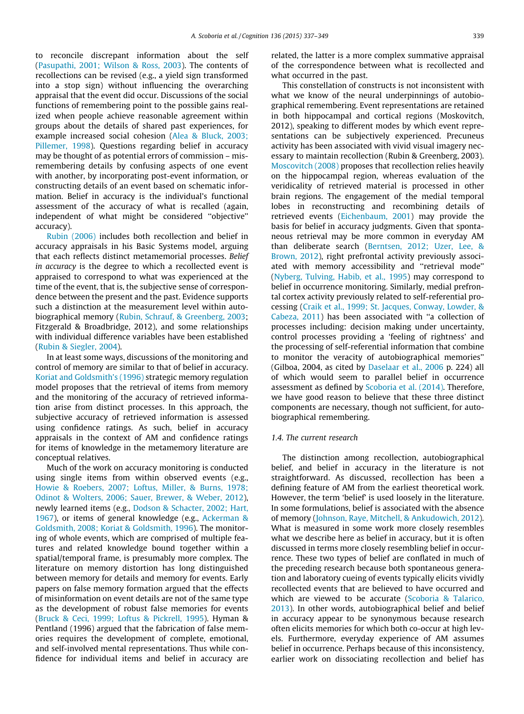to reconcile discrepant information about the self ([Pasupathi, 2001; Wilson & Ross, 2003\)](#page-11-0). The contents of recollections can be revised (e.g., a yield sign transformed into a stop sign) without influencing the overarching appraisal that the event did occur. Discussions of the social functions of remembering point to the possible gains realized when people achieve reasonable agreement within groups about the details of shared past experiences, for example increased social cohesion [\(Alea & Bluck, 2003;](#page-10-0) [Pillemer, 1998\)](#page-10-0). Questions regarding belief in accuracy may be thought of as potential errors of commission – misremembering details by confusing aspects of one event with another, by incorporating post-event information, or constructing details of an event based on schematic information. Belief in accuracy is the individual's functional assessment of the accuracy of what is recalled (again, independent of what might be considered ''objective'' accuracy).

[Rubin \(2006\)](#page-11-0) includes both recollection and belief in accuracy appraisals in his Basic Systems model, arguing that each reflects distinct metamemorial processes. Belief in accuracy is the degree to which a recollected event is appraised to correspond to what was experienced at the time of the event, that is, the subjective sense of correspondence between the present and the past. Evidence supports such a distinction at the measurement level within autobiographical memory ([Rubin, Schrauf, & Greenberg, 2003](#page-11-0); Fitzgerald & Broadbridge, 2012), and some relationships with individual difference variables have been established ([Rubin & Siegler, 2004\)](#page-11-0).

In at least some ways, discussions of the monitoring and control of memory are similar to that of belief in accuracy. [Koriat and Goldsmith's \(1996\)](#page-11-0) strategic memory regulation model proposes that the retrieval of items from memory and the monitoring of the accuracy of retrieved information arise from distinct processes. In this approach, the subjective accuracy of retrieved information is assessed using confidence ratings. As such, belief in accuracy appraisals in the context of AM and confidence ratings for items of knowledge in the metamemory literature are conceptual relatives.

Much of the work on accuracy monitoring is conducted using single items from within observed events (e.g., [Howie & Roebers, 2007; Loftus, Miller, & Burns, 1978;](#page-11-0) [Odinot & Wolters, 2006; Sauer, Brewer, & Weber, 2012](#page-11-0)), newly learned items (e.g., [Dodson & Schacter, 2002; Hart,](#page-11-0) [1967\)](#page-11-0), or items of general knowledge (e.g., [Ackerman &](#page-10-0) [Goldsmith, 2008; Koriat & Goldsmith, 1996\)](#page-10-0). The monitoring of whole events, which are comprised of multiple features and related knowledge bound together within a spatial/temporal frame, is presumably more complex. The literature on memory distortion has long distinguished between memory for details and memory for events. Early papers on false memory formation argued that the effects of misinformation on event details are not of the same type as the development of robust false memories for events ([Bruck & Ceci, 1999; Loftus & Pickrell, 1995](#page-10-0)). Hyman & Pentland (1996) argued that the fabrication of false memories requires the development of complete, emotional, and self-involved mental representations. Thus while confidence for individual items and belief in accuracy are

related, the latter is a more complex summative appraisal of the correspondence between what is recollected and what occurred in the past.

This constellation of constructs is not inconsistent with what we know of the neural underpinnings of autobiographical remembering. Event representations are retained in both hippocampal and cortical regions (Moskovitch, 2012), speaking to different modes by which event representations can be subjectively experienced. Precuneus activity has been associated with vivid visual imagery necessary to maintain recollection (Rubin & Greenberg, 2003). [Moscovitch \(2008\)](#page-11-0) proposes that recollection relies heavily on the hippocampal region, whereas evaluation of the veridicality of retrieved material is processed in other brain regions. The engagement of the medial temporal lobes in reconstructing and recombining details of retrieved events [\(Eichenbaum, 2001\)](#page-11-0) may provide the basis for belief in accuracy judgments. Given that spontaneous retrieval may be more common in everyday AM than deliberate search [\(Berntsen, 2012; Uzer, Lee, &](#page-10-0) [Brown, 2012](#page-10-0)), right prefrontal activity previously associated with memory accessibility and ''retrieval mode'' [\(Nyberg, Tulving, Habib, et al., 1995](#page-11-0)) may correspond to belief in occurrence monitoring. Similarly, medial prefrontal cortex activity previously related to self-referential processing ([Craik et al., 1999; St. Jacques, Conway, Lowder, &](#page-11-0) [Cabeza, 2011](#page-11-0)) has been associated with ''a collection of processes including: decision making under uncertainty, control processes providing a 'feeling of rightness' and the processing of self-referential information that combine to monitor the veracity of autobiographical memories'' (Gilboa, 2004, as cited by [Daselaar et al., 2006](#page-11-0) p. 224) all of which would seem to parallel belief in occurrence assessment as defined by [Scoboria et al. \(2014\).](#page-11-0) Therefore, we have good reason to believe that these three distinct components are necessary, though not sufficient, for autobiographical remembering.

## 1.4. The current research

The distinction among recollection, autobiographical belief, and belief in accuracy in the literature is not straightforward. As discussed, recollection has been a defining feature of AM from the earliest theoretical work. However, the term 'belief' is used loosely in the literature. In some formulations, belief is associated with the absence of memory [\(Johnson, Raye, Mitchell, & Ankudowich, 2012](#page-11-0)). What is measured in some work more closely resembles what we describe here as belief in accuracy, but it is often discussed in terms more closely resembling belief in occurrence. These two types of belief are conflated in much of the preceding research because both spontaneous generation and laboratory cueing of events typically elicits vividly recollected events that are believed to have occurred and which are viewed to be accurate [\(Scoboria & Talarico,](#page-11-0) [2013\)](#page-11-0). In other words, autobiographical belief and belief in accuracy appear to be synonymous because research often elicits memories for which both co-occur at high levels. Furthermore, everyday experience of AM assumes belief in occurrence. Perhaps because of this inconsistency, earlier work on dissociating recollection and belief has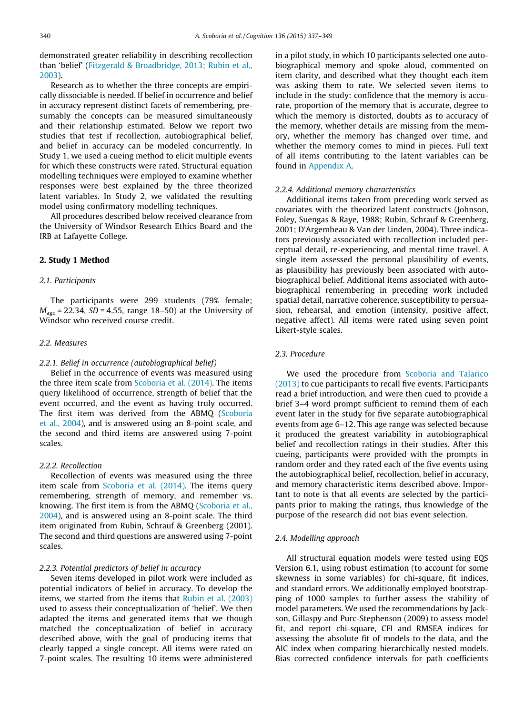demonstrated greater reliability in describing recollection than 'belief' [\(Fitzgerald & Broadbridge, 2013; Rubin et al.,](#page-11-0) [2003](#page-11-0)).

Research as to whether the three concepts are empirically dissociable is needed. If belief in occurrence and belief in accuracy represent distinct facets of remembering, presumably the concepts can be measured simultaneously and their relationship estimated. Below we report two studies that test if recollection, autobiographical belief, and belief in accuracy can be modeled concurrently. In Study 1, we used a cueing method to elicit multiple events for which these constructs were rated. Structural equation modelling techniques were employed to examine whether responses were best explained by the three theorized latent variables. In Study 2, we validated the resulting model using confirmatory modelling techniques.

All procedures described below received clearance from the University of Windsor Research Ethics Board and the IRB at Lafayette College.

# 2. Study 1 Method

## 2.1. Participants

The participants were 299 students (79% female;  $M<sub>age</sub> = 22.34$ , SD = 4.55, range 18–50) at the University of Windsor who received course credit.

# 2.2. Measures

#### 2.2.1. Belief in occurrence (autobiographical belief)

Belief in the occurrence of events was measured using the three item scale from [Scoboria et al. \(2014\).](#page-11-0) The items query likelihood of occurrence, strength of belief that the event occurred, and the event as having truly occurred. The first item was derived from the ABMQ [\(Scoboria](#page-11-0) [et al., 2004](#page-11-0)), and is answered using an 8-point scale, and the second and third items are answered using 7-point scales.

# 2.2.2. Recollection

Recollection of events was measured using the three item scale from [Scoboria et al. \(2014\)](#page-11-0). The items query remembering, strength of memory, and remember vs. knowing. The first item is from the ABMQ ([Scoboria et al.,](#page-11-0) [2004](#page-11-0)), and is answered using an 8-point scale. The third item originated from Rubin, Schrauf & Greenberg (2001). The second and third questions are answered using 7-point scales.

#### 2.2.3. Potential predictors of belief in accuracy

Seven items developed in pilot work were included as potential indicators of belief in accuracy. To develop the items, we started from the items that [Rubin et al. \(2003\)](#page-11-0) used to assess their conceptualization of 'belief'. We then adapted the items and generated items that we though matched the conceptualization of belief in accuracy described above, with the goal of producing items that clearly tapped a single concept. All items were rated on 7-point scales. The resulting 10 items were administered

in a pilot study, in which 10 participants selected one autobiographical memory and spoke aloud, commented on item clarity, and described what they thought each item was asking them to rate. We selected seven items to include in the study: confidence that the memory is accurate, proportion of the memory that is accurate, degree to which the memory is distorted, doubts as to accuracy of the memory, whether details are missing from the memory, whether the memory has changed over time, and whether the memory comes to mind in pieces. Full text of all items contributing to the latent variables can be found in [Appendix A](#page-10-0).

#### 2.2.4. Additional memory characteristics

Additional items taken from preceding work served as covariates with the theorized latent constructs (Johnson, Foley, Suengas & Raye, 1988; Rubin, Schrauf & Greenberg, 2001; D'Argembeau & Van der Linden, 2004). Three indicators previously associated with recollection included perceptual detail, re-experiencing, and mental time travel. A single item assessed the personal plausibility of events, as plausibility has previously been associated with autobiographical belief. Additional items associated with autobiographical remembering in preceding work included spatial detail, narrative coherence, susceptibility to persuasion, rehearsal, and emotion (intensity, positive affect, negative affect). All items were rated using seven point Likert-style scales.

#### 2.3. Procedure

We used the procedure from [Scoboria and Talarico](#page-11-0) [\(2013\)](#page-11-0) to cue participants to recall five events. Participants read a brief introduction, and were then cued to provide a brief 3–4 word prompt sufficient to remind them of each event later in the study for five separate autobiographical events from age 6–12. This age range was selected because it produced the greatest variability in autobiographical belief and recollection ratings in their studies. After this cueing, participants were provided with the prompts in random order and they rated each of the five events using the autobiographical belief, recollection, belief in accuracy, and memory characteristic items described above. Important to note is that all events are selected by the participants prior to making the ratings, thus knowledge of the purpose of the research did not bias event selection.

#### 2.4. Modelling approach

All structural equation models were tested using EQS Version 6.1, using robust estimation (to account for some skewness in some variables) for chi-square, fit indices, and standard errors. We additionally employed bootstrapping of 1000 samples to further assess the stability of model parameters. We used the recommendations by Jackson, Gillaspy and Purc-Stephenson (2009) to assess model fit, and report chi-square, CFI and RMSEA indices for assessing the absolute fit of models to the data, and the AIC index when comparing hierarchically nested models. Bias corrected confidence intervals for path coefficients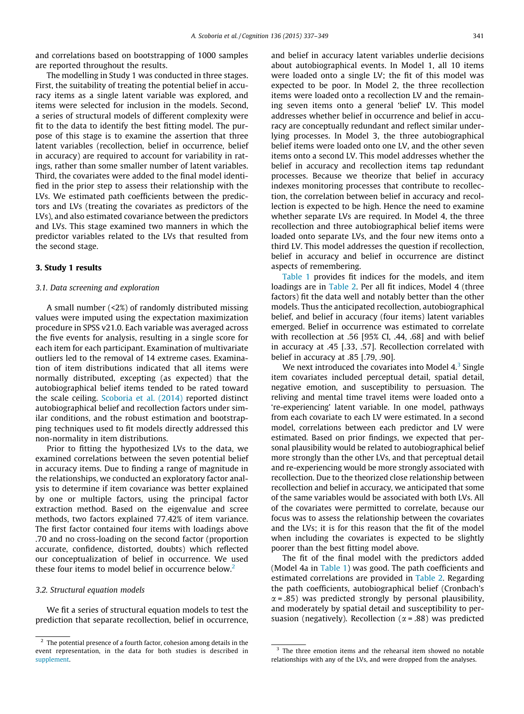and correlations based on bootstrapping of 1000 samples are reported throughout the results.

The modelling in Study 1 was conducted in three stages. First, the suitability of treating the potential belief in accuracy items as a single latent variable was explored, and items were selected for inclusion in the models. Second, a series of structural models of different complexity were fit to the data to identify the best fitting model. The purpose of this stage is to examine the assertion that three latent variables (recollection, belief in occurrence, belief in accuracy) are required to account for variability in ratings, rather than some smaller number of latent variables. Third, the covariates were added to the final model identified in the prior step to assess their relationship with the LVs. We estimated path coefficients between the predictors and LVs (treating the covariates as predictors of the LVs), and also estimated covariance between the predictors and LVs. This stage examined two manners in which the predictor variables related to the LVs that resulted from the second stage.

## 3. Study 1 results

## 3.1. Data screening and exploration

A small number (<2%) of randomly distributed missing values were imputed using the expectation maximization procedure in SPSS v21.0. Each variable was averaged across the five events for analysis, resulting in a single score for each item for each participant. Examination of multivariate outliers led to the removal of 14 extreme cases. Examination of item distributions indicated that all items were normally distributed, excepting (as expected) that the autobiographical belief items tended to be rated toward the scale ceiling. [Scoboria et al. \(2014\)](#page-11-0) reported distinct autobiographical belief and recollection factors under similar conditions, and the robust estimation and bootstrapping techniques used to fit models directly addressed this non-normality in item distributions.

Prior to fitting the hypothesized LVs to the data, we examined correlations between the seven potential belief in accuracy items. Due to finding a range of magnitude in the relationships, we conducted an exploratory factor analysis to determine if item covariance was better explained by one or multiple factors, using the principal factor extraction method. Based on the eigenvalue and scree methods, two factors explained 77.42% of item variance. The first factor contained four items with loadings above .70 and no cross-loading on the second factor (proportion accurate, confidence, distorted, doubts) which reflected our conceptualization of belief in occurrence. We used these four items to model belief in occurrence below.<sup>2</sup>

## 3.2. Structural equation models

We fit a series of structural equation models to test the prediction that separate recollection, belief in occurrence, and belief in accuracy latent variables underlie decisions about autobiographical events. In Model 1, all 10 items were loaded onto a single LV; the fit of this model was expected to be poor. In Model 2, the three recollection items were loaded onto a recollection LV and the remaining seven items onto a general 'belief' LV. This model addresses whether belief in occurrence and belief in accuracy are conceptually redundant and reflect similar underlying processes. In Model 3, the three autobiographical belief items were loaded onto one LV, and the other seven items onto a second LV. This model addresses whether the belief in accuracy and recollection items tap redundant processes. Because we theorize that belief in accuracy indexes monitoring processes that contribute to recollection, the correlation between belief in accuracy and recollection is expected to be high. Hence the need to examine whether separate LVs are required. In Model 4, the three recollection and three autobiographical belief items were loaded onto separate LVs, and the four new items onto a third LV. This model addresses the question if recollection, belief in accuracy and belief in occurrence are distinct aspects of remembering.

[Table 1](#page-5-0) provides fit indices for the models, and item loadings are in [Table 2](#page-5-0). Per all fit indices, Model 4 (three factors) fit the data well and notably better than the other models. Thus the anticipated recollection, autobiographical belief, and belief in accuracy (four items) latent variables emerged. Belief in occurrence was estimated to correlate with recollection at .56 [95% CI, .44, .68] and with belief in accuracy at .45 [.33, .57]. Recollection correlated with belief in accuracy at .85 [.79, .90].

We next introduced the covariates into Model  $4<sup>3</sup>$  Single item covariates included perceptual detail, spatial detail, negative emotion, and susceptibility to persuasion. The reliving and mental time travel items were loaded onto a 're-experiencing' latent variable. In one model, pathways from each covariate to each LV were estimated. In a second model, correlations between each predictor and LV were estimated. Based on prior findings, we expected that personal plausibility would be related to autobiographical belief more strongly than the other LVs, and that perceptual detail and re-experiencing would be more strongly associated with recollection. Due to the theorized close relationship between recollection and belief in accuracy, we anticipated that some of the same variables would be associated with both LVs. All of the covariates were permitted to correlate, because our focus was to assess the relationship between the covariates and the LVs; it is for this reason that the fit of the model when including the covariates is expected to be slightly poorer than the best fitting model above.

The fit of the final model with the predictors added (Model 4a in [Table 1](#page-5-0)) was good. The path coefficients and estimated correlations are provided in [Table 2](#page-5-0). Regarding the path coefficients, autobiographical belief (Cronbach's  $\alpha$  = .85) was predicted strongly by personal plausibility, and moderately by spatial detail and susceptibility to persuasion (negatively). Recollection ( $\alpha$  = .88) was predicted

 $2\degree$  The potential presence of a fourth factor, cohesion among details in the event representation, in the data for both studies is described in supplement.

<sup>&</sup>lt;sup>3</sup> The three emotion items and the rehearsal item showed no notable relationships with any of the LVs, and were dropped from the analyses.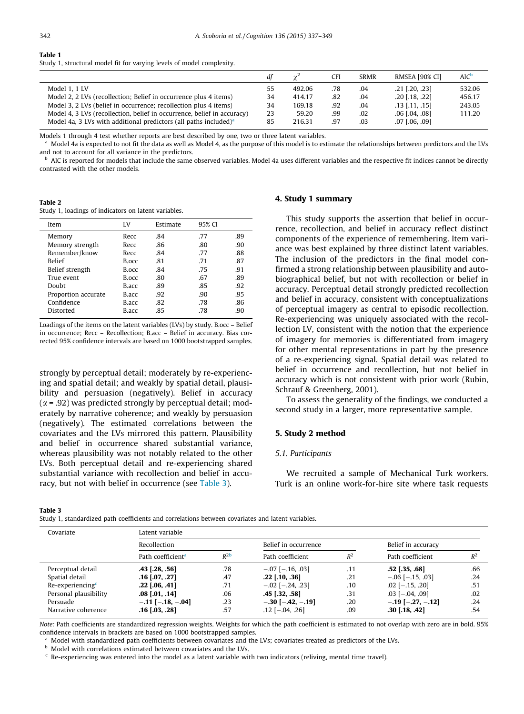# <span id="page-5-0"></span>Table 1

Study 1, structural model fit for varying levels of model complexity.

|                                                                              | df |        | CFI | <b>SRMR</b> | RMSEA [90% CI]     | $AIC^b$ |
|------------------------------------------------------------------------------|----|--------|-----|-------------|--------------------|---------|
| Model 1.1 LV                                                                 | 55 | 492.06 | .78 | .04         | $.21$ $[.20, .23]$ | 532.06  |
| Model 2, 2 LVs (recollection; Belief in occurrence plus 4 items)             | 34 | 414.17 | .82 | .04         | $.20$ [.18, .22]   | 456.17  |
| Model 3, 2 LVs (belief in occurrence; recollection plus 4 items)             | 34 | 169.18 | .92 | .04         | $.13$ [.11, .15]   | 243.05  |
| Model 4, 3 LVs (recollection, belief in occurrence, belief in accuracy)      | 23 | 59.20  | .99 | .02         | $.06$ $[.04, .08]$ | 111.20  |
| Model 4a, 3 LVs with additional predictors (all paths included) <sup>a</sup> | 85 | 216.31 | .97 | .03         | $.07$ $[.06, .09]$ |         |

Models 1 through 4 test whether reports are best described by one, two or three latent variables.

<sup>a</sup> Model 4a is expected to not fit the data as well as Model 4, as the purpose of this model is to estimate the relationships between predictors and the LVs and not to account for all variance in the predictors.

<sup>b</sup> AIC is reported for models that include the same observed variables. Model 4a uses different variables and the respective fit indices cannot be directly contrasted with the other models.

### Table 2

Study 1, loadings of indicators on latent variables.

| Item                | LV    | Estimate | 95% CI |     |
|---------------------|-------|----------|--------|-----|
| Memory              | Recc  | .84      | .77    | .89 |
| Memory strength     | Recc  | .86      | .80    | .90 |
| Remember/know       | Recc  | .84      | .77    | .88 |
| <b>Belief</b>       | B.occ | .81      | .71    | .87 |
| Belief strength     | B.occ | .84      | .75    | .91 |
| True event          | B.occ | .80      | .67    | .89 |
| Doubt               | B.acc | .89      | .85    | .92 |
| Proportion accurate | B.acc | .92      | .90    | .95 |
| Confidence          | B.acc | .82      | .78    | .86 |
| Distorted           | B.acc | .85      | .78    | .90 |

Loadings of the items on the latent variables (LVs) by study. B.occ – Belief in occurrence; Recc – Recollection; B.acc – Belief in accuracy. Bias corrected 95% confidence intervals are based on 1000 bootstrapped samples.

strongly by perceptual detail; moderately by re-experiencing and spatial detail; and weakly by spatial detail, plausibility and persuasion (negatively). Belief in accuracy  $(\alpha = .92)$  was predicted strongly by perceptual detail; moderately by narrative coherence; and weakly by persuasion (negatively). The estimated correlations between the covariates and the LVs mirrored this pattern. Plausibility and belief in occurrence shared substantial variance, whereas plausibility was not notably related to the other LVs. Both perceptual detail and re-experiencing shared substantial variance with recollection and belief in accuracy, but not with belief in occurrence (see Table 3).

#### 4. Study 1 summary

This study supports the assertion that belief in occurrence, recollection, and belief in accuracy reflect distinct components of the experience of remembering. Item variance was best explained by three distinct latent variables. The inclusion of the predictors in the final model confirmed a strong relationship between plausibility and autobiographical belief, but not with recollection or belief in accuracy. Perceptual detail strongly predicted recollection and belief in accuracy, consistent with conceptualizations of perceptual imagery as central to episodic recollection. Re-experiencing was uniquely associated with the recollection LV, consistent with the notion that the experience of imagery for memories is differentiated from imagery for other mental representations in part by the presence of a re-experiencing signal. Spatial detail was related to belief in occurrence and recollection, but not belief in accuracy which is not consistent with prior work (Rubin, Schrauf & Greenberg, 2001).

To assess the generality of the findings, we conducted a second study in a larger, more representative sample.

## 5. Study 2 method

#### 5.1. Participants

We recruited a sample of Mechanical Turk workers. Turk is an online work-for-hire site where task requests

#### Table 3

Study 1, standardized path coefficients and correlations between covariates and latent variables.

| Covariate                                                                                    | Latent variable                                                                  |                          |                                                                                              |                          |                                                                                          |                          |  |
|----------------------------------------------------------------------------------------------|----------------------------------------------------------------------------------|--------------------------|----------------------------------------------------------------------------------------------|--------------------------|------------------------------------------------------------------------------------------|--------------------------|--|
|                                                                                              | Recollection                                                                     |                          | Belief in occurrence                                                                         |                          | Belief in accuracy                                                                       |                          |  |
|                                                                                              | Path coefficient <sup>a</sup>                                                    | $R^{\rm 2b}$             | Path coefficient                                                                             | $R^2$                    | Path coefficient                                                                         | $R^2$                    |  |
| Perceptual detail<br>Spatial detail<br>Re-experiencing <sup>c</sup><br>Personal plausibility | $.43$ [ $.28, .56$ ]<br>$.16$ [.07, .27]<br>$.22$ [.06, .41]<br>$.08$ [.01, .14] | .78<br>.47<br>.71<br>.06 | $-.07$ [ $-.16, .03$ ]<br>$.22$ [.10, .36]<br>$-.02$ [ $-.24, .23$ ]<br>$.45$ [ $.32, .58$ ] | .11<br>.21<br>.10<br>.31 | .52 [.35, .68]<br>$-.06$ [ $-.15, .03$ ]<br>$.02$ [ $-.15, .20$ ]<br>$.03$ $[-.04, .09]$ | .66<br>.24<br>.51<br>.02 |  |
| Persuade<br>Narrative coherence                                                              | $-.11$ [ $-.18, -.04$ ]<br>$.16$ [.03, .28]                                      | .23<br>.57               | $-.30$ [ $-.42, -.19$ ]<br>$.12$ [ $-.04, .26$ ]                                             | .20<br>.09               | $-.19$ [ $-.27, -.12$ ]<br>$.30$ [.18, .42]                                              | .24<br>.54               |  |

Note: Path coefficients are standardized regression weights. Weights for which the path coefficient is estimated to not overlap with zero are in bold. 95% confidence intervals in brackets are based on 1000 bootstrapped samples.

<sup>a</sup> Model with standardized path coefficients between covariates and the LVs; covariates treated as predictors of the LVs.

Model with correlations estimated between covariates and the LVs.

 $c$  Re-experiencing was entered into the model as a latent variable with two indicators (reliving, mental time travel).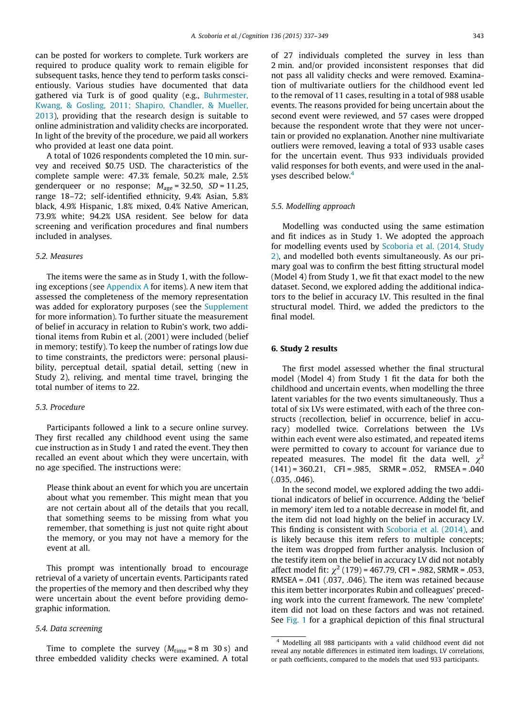can be posted for workers to complete. Turk workers are required to produce quality work to remain eligible for subsequent tasks, hence they tend to perform tasks conscientiously. Various studies have documented that data gathered via Turk is of good quality (e.g., [Buhrmester,](#page-10-0) [Kwang, & Gosling, 2011; Shapiro, Chandler, & Mueller,](#page-10-0) [2013\)](#page-10-0), providing that the research design is suitable to online administration and validity checks are incorporated. In light of the brevity of the procedure, we paid all workers who provided at least one data point.

A total of 1026 respondents completed the 10 min. survey and received \$0.75 USD. The characteristics of the complete sample were: 47.3% female, 50.2% male, 2.5% genderqueer or no response;  $M_{\text{age}} = 32.50$ ,  $SD = 11.25$ , range 18–72; self-identified ethnicity, 9.4% Asian, 5.8% black, 4.9% Hispanic, 1.8% mixed, 0.4% Native American, 73.9% white; 94.2% USA resident. See below for data screening and verification procedures and final numbers included in analyses.

## 5.2. Measures

The items were the same as in Study 1, with the following exceptions (see [Appendix A](#page-10-0) for items). A new item that assessed the completeness of the memory representation was added for exploratory purposes (see the Supplement for more information). To further situate the measurement of belief in accuracy in relation to Rubin's work, two additional items from Rubin et al. (2001) were included (belief in memory; testify). To keep the number of ratings low due to time constraints, the predictors were: personal plausibility, perceptual detail, spatial detail, setting (new in Study 2), reliving, and mental time travel, bringing the total number of items to 22.

# 5.3. Procedure

Participants followed a link to a secure online survey. They first recalled any childhood event using the same cue instruction as in Study 1 and rated the event. They then recalled an event about which they were uncertain, with no age specified. The instructions were:

Please think about an event for which you are uncertain about what you remember. This might mean that you are not certain about all of the details that you recall, that something seems to be missing from what you remember, that something is just not quite right about the memory, or you may not have a memory for the event at all.

This prompt was intentionally broad to encourage retrieval of a variety of uncertain events. Participants rated the properties of the memory and then described why they were uncertain about the event before providing demographic information.

## 5.4. Data screening

Time to complete the survey  $(M_{time} = 8 \text{ m } 30 \text{ s})$  and three embedded validity checks were examined. A total

of 27 individuals completed the survey in less than 2 min. and/or provided inconsistent responses that did not pass all validity checks and were removed. Examination of multivariate outliers for the childhood event led to the removal of 11 cases, resulting in a total of 988 usable events. The reasons provided for being uncertain about the second event were reviewed, and 57 cases were dropped because the respondent wrote that they were not uncertain or provided no explanation. Another nine multivariate outliers were removed, leaving a total of 933 usable cases for the uncertain event. Thus 933 individuals provided valid responses for both events, and were used in the analyses described below.4

# 5.5. Modelling approach

Modelling was conducted using the same estimation and fit indices as in Study 1. We adopted the approach for modelling events used by [Scoboria et al. \(2014, Study](#page-11-0) [2\),](#page-11-0) and modelled both events simultaneously. As our primary goal was to confirm the best fitting structural model (Model 4) from Study 1, we fit that exact model to the new dataset. Second, we explored adding the additional indicators to the belief in accuracy LV. This resulted in the final structural model. Third, we added the predictors to the final model.

### 6. Study 2 results

The first model assessed whether the final structural model (Model 4) from Study 1 fit the data for both the childhood and uncertain events, when modelling the three latent variables for the two events simultaneously. Thus a total of six LVs were estimated, with each of the three constructs (recollection, belief in occurrence, belief in accuracy) modelled twice. Correlations between the LVs within each event were also estimated, and repeated items were permitted to covary to account for variance due to repeated measures. The model fit the data well,  $\gamma^2$  $(141) = 360.21$ , CFI = .985, SRMR = .052, RMSEA = .040 (.035, .046).

In the second model, we explored adding the two additional indicators of belief in occurrence. Adding the 'belief in memory' item led to a notable decrease in model fit, and the item did not load highly on the belief in accuracy LV. This finding is consistent with [Scoboria et al. \(2014\)](#page-11-0), and is likely because this item refers to multiple concepts; the item was dropped from further analysis. Inclusion of the testify item on the belief in accuracy LV did not notably affect model fit:  $\chi^2$  (179) = 467.79, CFI = .982, SRMR = .053, RMSEA = .041 (.037, .046). The item was retained because this item better incorporates Rubin and colleagues' preceding work into the current framework. The new 'complete' item did not load on these factors and was not retained. See [Fig. 1](#page-7-0) for a graphical depiction of this final structural

<sup>4</sup> Modelling all 988 participants with a valid childhood event did not reveal any notable differences in estimated item loadings, LV correlations, or path coefficients, compared to the models that used 933 participants.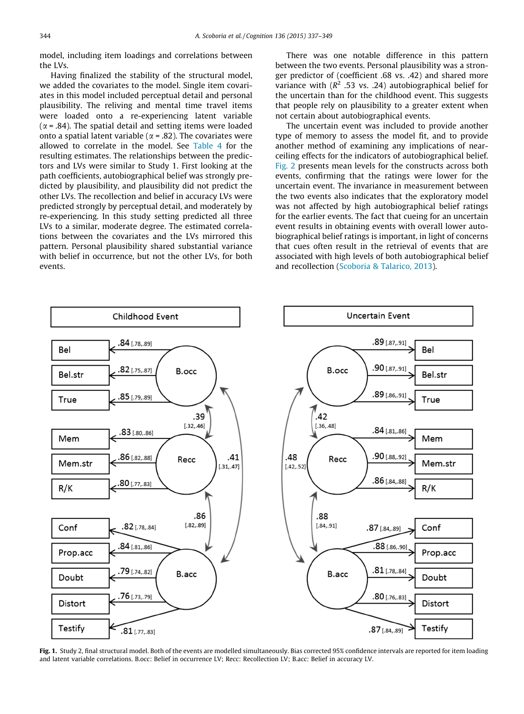<span id="page-7-0"></span>model, including item loadings and correlations between the LVs.

Having finalized the stability of the structural model, we added the covariates to the model. Single item covariates in this model included perceptual detail and personal plausibility. The reliving and mental time travel items were loaded onto a re-experiencing latent variable  $(\alpha = .84)$ . The spatial detail and setting items were loaded onto a spatial latent variable ( $\alpha$  = .82). The covariates were allowed to correlate in the model. See [Table 4](#page-8-0) for the resulting estimates. The relationships between the predictors and LVs were similar to Study 1. First looking at the path coefficients, autobiographical belief was strongly predicted by plausibility, and plausibility did not predict the other LVs. The recollection and belief in accuracy LVs were predicted strongly by perceptual detail, and moderately by re-experiencing. In this study setting predicted all three LVs to a similar, moderate degree. The estimated correlations between the covariates and the LVs mirrored this pattern. Personal plausibility shared substantial variance with belief in occurrence, but not the other LVs, for both events.

There was one notable difference in this pattern between the two events. Personal plausibility was a stronger predictor of (coefficient .68 vs. .42) and shared more variance with  $(R^2$  .53 vs. .24) autobiographical belief for the uncertain than for the childhood event. This suggests that people rely on plausibility to a greater extent when not certain about autobiographical events.

The uncertain event was included to provide another type of memory to assess the model fit, and to provide another method of examining any implications of nearceiling effects for the indicators of autobiographical belief. [Fig. 2](#page-9-0) presents mean levels for the constructs across both events, confirming that the ratings were lower for the uncertain event. The invariance in measurement between the two events also indicates that the exploratory model was not affected by high autobiographical belief ratings for the earlier events. The fact that cueing for an uncertain event results in obtaining events with overall lower autobiographical belief ratings is important, in light of concerns that cues often result in the retrieval of events that are associated with high levels of both autobiographical belief and recollection ([Scoboria & Talarico, 2013](#page-11-0)).



Fig. 1. Study 2, final structural model. Both of the events are modelled simultaneously. Bias corrected 95% confidence intervals are reported for item loading and latent variable correlations. B.occ: Belief in occurrence LV; Recc: Recollection LV; B.acc: Belief in accuracy LV.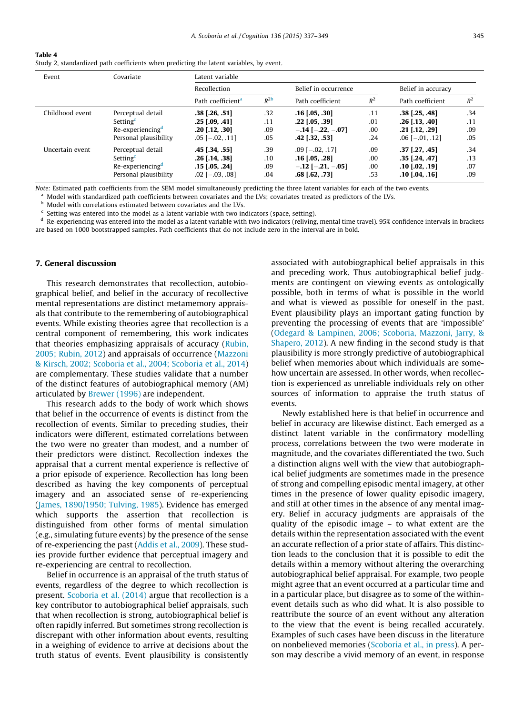#### <span id="page-8-0"></span>Table 4

Study 2, standardized path coefficients when predicting the latent variables, by event.

| Event           | Covariate                                                                                          | Latent variable                                                                       |                          |                                                                                          |                          |                                                                                   |                          |  |
|-----------------|----------------------------------------------------------------------------------------------------|---------------------------------------------------------------------------------------|--------------------------|------------------------------------------------------------------------------------------|--------------------------|-----------------------------------------------------------------------------------|--------------------------|--|
|                 |                                                                                                    | Recollection                                                                          |                          | Belief in occurrence                                                                     |                          | Belief in accuracy                                                                |                          |  |
|                 |                                                                                                    | Path coefficient <sup>a</sup>                                                         | $R^{\rm 2b}$             | Path coefficient                                                                         | $R^2$                    | Path coefficient                                                                  | $R^2$                    |  |
| Childhood event | Perceptual detail<br>Setting<br>Re-experiencing <sup>a</sup><br>Personal plausibility              | $.38$ [ $.26, .51$ ]<br>$.25$ [.09, .41]<br>$.20$ [.12, .30]<br>$.05$ [ $-.02, .11$ ] | .32<br>.11<br>.09<br>.05 | $.16$ [.05, .30]<br>$.22$ [.05, .39]<br>$-.14$ [ $-.22, -.07$ ]<br>$.42$ [.32, .53]      | .11<br>.01<br>.00<br>.24 | $.38$ [.25, .48]<br>$.26$ [.13, .40]<br>$.21$ [.12, .29]<br>$.06$ [ $-.01, .12$ ] | .34<br>.11<br>.09<br>.05 |  |
| Uncertain event | Perceptual detail<br>Setting <sup>c</sup><br>Re-experiencing <sup>d</sup><br>Personal plausibility | .45 [.34, .55]<br>$.26$ [.14, .38]<br>.15 [.05, .24]<br>$.02$ [ $-.03, .08$ ]         | .39<br>.10<br>.09<br>.04 | $.09$ [ $-.02, .17$ ]<br>$.16$ [.05, .28]<br>$-.12$ [ $-.21, -.05$ ]<br>$.68$ [.62, .73] | .09<br>.00<br>.00<br>.53 | $.37$ [.27, .45]<br>.35 [.24, .47]<br>$.10$ [.02, .19]<br>$.10$ [.04, .16]        | .34<br>.13<br>.07<br>.09 |  |

Note: Estimated path coefficients from the SEM model simultaneously predicting the three latent variables for each of the two events.

<sup>a</sup> Model with standardized path coefficients between covariates and the LVs; covariates treated as predictors of the LVs.

**b** Model with correlations estimated between covariates and the LVs.

 $c$  Setting was entered into the model as a latent variable with two indicators (space, setting).

 $d$  Re-experiencing was entered into the model as a latent variable with two indicators (reliving, mental time travel). 95% confidence intervals in brackets are based on 1000 bootstrapped samples. Path coefficients that do not include zero in the interval are in bold.

#### 7. General discussion

This research demonstrates that recollection, autobiographical belief, and belief in the accuracy of recollective mental representations are distinct metamemory appraisals that contribute to the remembering of autobiographical events. While existing theories agree that recollection is a central component of remembering, this work indicates that theories emphasizing appraisals of accuracy [\(Rubin,](#page-11-0) [2005; Rubin, 2012\)](#page-11-0) and appraisals of occurrence ([Mazzoni](#page-11-0) [& Kirsch, 2002; Scoboria et al., 2004; Scoboria et al., 2014](#page-11-0)) are complementary. These studies validate that a number of the distinct features of autobiographical memory (AM) articulated by [Brewer \(1996\)](#page-10-0) are independent.

This research adds to the body of work which shows that belief in the occurrence of events is distinct from the recollection of events. Similar to preceding studies, their indicators were different, estimated correlations between the two were no greater than modest, and a number of their predictors were distinct. Recollection indexes the appraisal that a current mental experience is reflective of a prior episode of experience. Recollection has long been described as having the key components of perceptual imagery and an associated sense of re-experiencing ([James, 1890/1950; Tulving, 1985](#page-11-0)). Evidence has emerged which supports the assertion that recollection is distinguished from other forms of mental simulation (e.g., simulating future events) by the presence of the sense of re-experiencing the past [\(Addis et al., 2009](#page-10-0)). These studies provide further evidence that perceptual imagery and re-experiencing are central to recollection.

Belief in occurrence is an appraisal of the truth status of events, regardless of the degree to which recollection is present. [Scoboria et al. \(2014\)](#page-11-0) argue that recollection is a key contributor to autobiographical belief appraisals, such that when recollection is strong, autobiographical belief is often rapidly inferred. But sometimes strong recollection is discrepant with other information about events, resulting in a weighing of evidence to arrive at decisions about the truth status of events. Event plausibility is consistently associated with autobiographical belief appraisals in this and preceding work. Thus autobiographical belief judgments are contingent on viewing events as ontologically possible, both in terms of what is possible in the world and what is viewed as possible for oneself in the past. Event plausibility plays an important gating function by preventing the processing of events that are 'impossible' [\(Odegard & Lampinen, 2006; Scoboria, Mazzoni, Jarry, &](#page-11-0) [Shapero, 2012](#page-11-0)). A new finding in the second study is that plausibility is more strongly predictive of autobiographical belief when memories about which individuals are somehow uncertain are assessed. In other words, when recollection is experienced as unreliable individuals rely on other sources of information to appraise the truth status of events.

Newly established here is that belief in occurrence and belief in accuracy are likewise distinct. Each emerged as a distinct latent variable in the confirmatory modelling process, correlations between the two were moderate in magnitude, and the covariates differentiated the two. Such a distinction aligns well with the view that autobiographical belief judgments are sometimes made in the presence of strong and compelling episodic mental imagery, at other times in the presence of lower quality episodic imagery, and still at other times in the absence of any mental imagery. Belief in accuracy judgments are appraisals of the quality of the episodic image – to what extent are the details within the representation associated with the event an accurate reflection of a prior state of affairs. This distinction leads to the conclusion that it is possible to edit the details within a memory without altering the overarching autobiographical belief appraisal. For example, two people might agree that an event occurred at a particular time and in a particular place, but disagree as to some of the withinevent details such as who did what. It is also possible to reattribute the source of an event without any alteration to the view that the event is being recalled accurately. Examples of such cases have been discuss in the literature on nonbelieved memories ([Scoboria et al., in press](#page-11-0)). A person may describe a vivid memory of an event, in response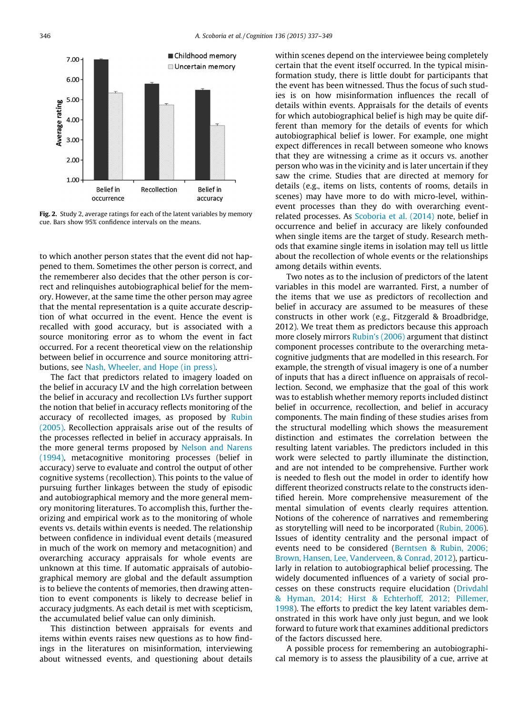<span id="page-9-0"></span>

Fig. 2. Study 2, average ratings for each of the latent variables by memory cue. Bars show 95% confidence intervals on the means.

to which another person states that the event did not happened to them. Sometimes the other person is correct, and the rememberer also decides that the other person is correct and relinquishes autobiographical belief for the memory. However, at the same time the other person may agree that the mental representation is a quite accurate description of what occurred in the event. Hence the event is recalled with good accuracy, but is associated with a source monitoring error as to whom the event in fact occurred. For a recent theoretical view on the relationship between belief in occurrence and source monitoring attributions, see [Nash, Wheeler, and Hope \(in press\).](#page-11-0)

The fact that predictors related to imagery loaded on the belief in accuracy LV and the high correlation between the belief in accuracy and recollection LVs further support the notion that belief in accuracy reflects monitoring of the accuracy of recollected images, as proposed by [Rubin](#page-11-0) [\(2005\)](#page-11-0). Recollection appraisals arise out of the results of the processes reflected in belief in accuracy appraisals. In the more general terms proposed by [Nelson and Narens](#page-11-0) [\(1994\)](#page-11-0), metacognitive monitoring processes (belief in accuracy) serve to evaluate and control the output of other cognitive systems (recollection). This points to the value of pursuing further linkages between the study of episodic and autobiographical memory and the more general memory monitoring literatures. To accomplish this, further theorizing and empirical work as to the monitoring of whole events vs. details within events is needed. The relationship between confidence in individual event details (measured in much of the work on memory and metacognition) and overarching accuracy appraisals for whole events are unknown at this time. If automatic appraisals of autobiographical memory are global and the default assumption is to believe the contents of memories, then drawing attention to event components is likely to decrease belief in accuracy judgments. As each detail is met with scepticism, the accumulated belief value can only diminish.

This distinction between appraisals for events and items within events raises new questions as to how findings in the literatures on misinformation, interviewing about witnessed events, and questioning about details

within scenes depend on the interviewee being completely certain that the event itself occurred. In the typical misinformation study, there is little doubt for participants that the event has been witnessed. Thus the focus of such studies is on how misinformation influences the recall of details within events. Appraisals for the details of events for which autobiographical belief is high may be quite different than memory for the details of events for which autobiographical belief is lower. For example, one might expect differences in recall between someone who knows that they are witnessing a crime as it occurs vs. another person who was in the vicinity and is later uncertain if they saw the crime. Studies that are directed at memory for details (e.g., items on lists, contents of rooms, details in scenes) may have more to do with micro-level, withinevent processes than they do with overarching eventrelated processes. As [Scoboria et al. \(2014\)](#page-11-0) note, belief in occurrence and belief in accuracy are likely confounded when single items are the target of study. Research methods that examine single items in isolation may tell us little about the recollection of whole events or the relationships among details within events.

Two notes as to the inclusion of predictors of the latent variables in this model are warranted. First, a number of the items that we use as predictors of recollection and belief in accuracy are assumed to be measures of these constructs in other work (e.g., Fitzgerald & Broadbridge, 2012). We treat them as predictors because this approach more closely mirrors [Rubin's \(2006\)](#page-11-0) argument that distinct component processes contribute to the overarching metacognitive judgments that are modelled in this research. For example, the strength of visual imagery is one of a number of inputs that has a direct influence on appraisals of recollection. Second, we emphasize that the goal of this work was to establish whether memory reports included distinct belief in occurrence, recollection, and belief in accuracy components. The main finding of these studies arises from the structural modelling which shows the measurement distinction and estimates the correlation between the resulting latent variables. The predictors included in this work were selected to partly illuminate the distinction, and are not intended to be comprehensive. Further work is needed to flesh out the model in order to identify how different theorized constructs relate to the constructs identified herein. More comprehensive measurement of the mental simulation of events clearly requires attention. Notions of the coherence of narratives and remembering as storytelling will need to be incorporated ([Rubin, 2006](#page-11-0)). Issues of identity centrality and the personal impact of events need to be considered [\(Berntsen & Rubin, 2006;](#page-10-0) [Brown, Hansen, Lee, Vanderveen, & Conrad, 2012](#page-10-0)), particularly in relation to autobiographical belief processing. The widely documented influences of a variety of social processes on these constructs require elucidation ([Drivdahl](#page-11-0) [& Hyman, 2014; Hirst & Echterhoff, 2012; Pillemer,](#page-11-0) [1998](#page-11-0)). The efforts to predict the key latent variables demonstrated in this work have only just begun, and we look forward to future work that examines additional predictors of the factors discussed here.

A possible process for remembering an autobiographical memory is to assess the plausibility of a cue, arrive at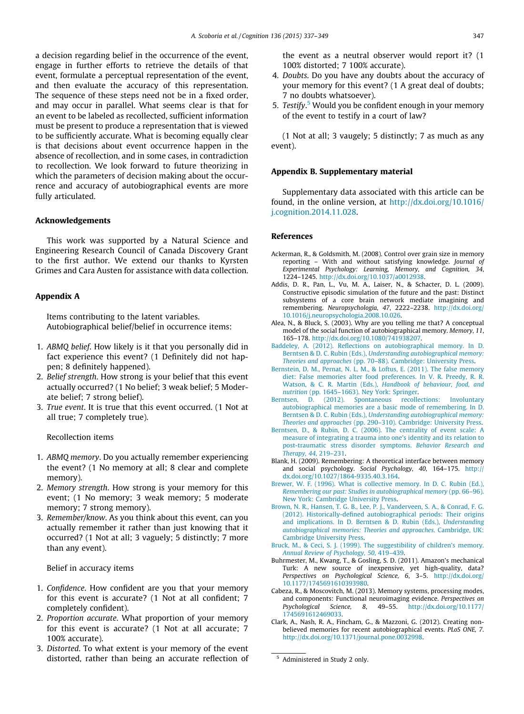<span id="page-10-0"></span>a decision regarding belief in the occurrence of the event, engage in further efforts to retrieve the details of that event, formulate a perceptual representation of the event, and then evaluate the accuracy of this representation. The sequence of these steps need not be in a fixed order, and may occur in parallel. What seems clear is that for an event to be labeled as recollected, sufficient information must be present to produce a representation that is viewed to be sufficiently accurate. What is becoming equally clear is that decisions about event occurrence happen in the absence of recollection, and in some cases, in contradiction to recollection. We look forward to future theorizing in which the parameters of decision making about the occurrence and accuracy of autobiographical events are more fully articulated.

## Acknowledgements

This work was supported by a Natural Science and Engineering Research Council of Canada Discovery Grant to the first author. We extend our thanks to Kyrsten Grimes and Cara Austen for assistance with data collection.

## Appendix A

Items contributing to the latent variables. Autobiographical belief/belief in occurrence items:

- 1. ABMQ belief. How likely is it that you personally did in fact experience this event? (1 Definitely did not happen; 8 definitely happened).
- 2. Belief strength. How strong is your belief that this event actually occurred? (1 No belief; 3 weak belief; 5 Moderate belief; 7 strong belief).
- 3. True event. It is true that this event occurred. (1 Not at all true; 7 completely true).

Recollection items

- 1. ABMQ memory. Do you actually remember experiencing the event? (1 No memory at all; 8 clear and complete memory).
- 2. Memory strength. How strong is your memory for this event; (1 No memory; 3 weak memory; 5 moderate memory; 7 strong memory).
- 3. Remember/know. As you think about this event, can you actually remember it rather than just knowing that it occurred? (1 Not at all; 3 vaguely; 5 distinctly; 7 more than any event).

Belief in accuracy items

- 1. Confidence. How confident are you that your memory for this event is accurate? (1 Not at all confident; 7 completely confident).
- 2. Proportion accurate. What proportion of your memory for this event is accurate? (1 Not at all accurate; 7 100% accurate).
- 3. Distorted. To what extent is your memory of the event distorted, rather than being an accurate reflection of

the event as a neutral observer would report it? (1 100% distorted; 7 100% accurate).

- 4. Doubts. Do you have any doubts about the accuracy of your memory for this event? (1 A great deal of doubts; 7 no doubts whatsoever).
- 5. Testify.<sup>5</sup> Would you be confident enough in your memory of the event to testify in a court of law?

(1 Not at all; 3 vaugely; 5 distinctly; 7 as much as any event).

#### Appendix B. Supplementary material

Supplementary data associated with this article can be found, in the online version, at [http://dx.doi.org/10.1016/](http://dx.doi.org/10.1016/j.cognition.2014.11.028) [j.cognition.2014.11.028](http://dx.doi.org/10.1016/j.cognition.2014.11.028).

# References

- Ackerman, R., & Goldsmith, M. (2008). Control over grain size in memory reporting – With and without satisfying knowledge. Journal of Experimental Psychology: Learning, Memory, and Cognition, 34, 1224–1245. [http://dx.doi.org/10.1037/a0012938.](http://dx.doi.org/10.1037/a0012938)
- Addis, D. R., Pan, L., Vu, M. A., Laiser, N., & Schacter, D. L. (2009). Constructive episodic simulation of the future and the past: Distinct subsystems of a core brain network mediate imagining and remembering. Neuropsychologia, 47, 2222–2238. [http://dx.doi.org/](http://dx.doi.org/10.1016/j.neuropsychologia.2008.10.026) [10.1016/j.neuropsychologia.2008.10.026](http://dx.doi.org/10.1016/j.neuropsychologia.2008.10.026).
- Alea, N., & Bluck, S. (2003). Why are you telling me that? A conceptual model of the social function of autobiographical memory. Memory, 11, 165–178. <http://dx.doi.org/10.1080/741938207>.
- [Baddeley, A. \(2012\). Reflections on autobiographical memory. In D.](http://refhub.elsevier.com/S0010-0277(14)00248-0/h0020) Berntsen & D. C. Rubin (Eds.), [Understanding autobiographical memory:](http://refhub.elsevier.com/S0010-0277(14)00248-0/h0020) Theories and approaches [\(pp. 70–88\). Cambridge: University Press.](http://refhub.elsevier.com/S0010-0277(14)00248-0/h0020)
- [Bernstein, D. M., Pernat, N. L. M., & Loftus, E. \(2011\). The false memory](http://refhub.elsevier.com/S0010-0277(14)00248-0/h0025) [diet: False memories alter food preferences. In V. R. Preedy, R. R.](http://refhub.elsevier.com/S0010-0277(14)00248-0/h0025) Watson, & C. R. Martin (Eds.), [Handbook of behaviour, food, and](http://refhub.elsevier.com/S0010-0277(14)00248-0/h0025) nutrition [\(pp. 1645–1663\). Ney York: Springer.](http://refhub.elsevier.com/S0010-0277(14)00248-0/h0025)<br>Berntsen, D. (2012). Spontaneous recollections:
- (2012). Spontaneous recollections: Involuntary [autobiographical memories are a basic mode of remembering. In D.](http://refhub.elsevier.com/S0010-0277(14)00248-0/h0030) Berntsen & D. C. Rubin (Eds.), [Understanding autobiographical memory:](http://refhub.elsevier.com/S0010-0277(14)00248-0/h0030) Theories and approaches [\(pp. 290–310\). Cambridge: University Press](http://refhub.elsevier.com/S0010-0277(14)00248-0/h0030).
- [Berntsen, D., & Rubin, D. C. \(2006\). The centrality of event scale: A](http://refhub.elsevier.com/S0010-0277(14)00248-0/h0035) [measure of integrating a trauma into one's identity and its relation to](http://refhub.elsevier.com/S0010-0277(14)00248-0/h0035) [post-traumatic stress disorder symptoms.](http://refhub.elsevier.com/S0010-0277(14)00248-0/h0035) Behavior Research and [Therapy, 44](http://refhub.elsevier.com/S0010-0277(14)00248-0/h0035), 219–231.
- Blank, H. (2009). Remembering: A theoretical interface between memory and social psychology. Social Psychology, 40, 164–175. [http://](http://dx.doi.org/10.1027/1864-9335.40.3.164) [dx.doi.org/10.1027/1864-9335.40.3.164.](http://dx.doi.org/10.1027/1864-9335.40.3.164)
- [Brewer, W. F. \(1996\). What is collective memory. In D. C. Rubin \(Ed.\),](http://refhub.elsevier.com/S0010-0277(14)00248-0/h0045) [Remembering our past: Studies in autobiographical memory](http://refhub.elsevier.com/S0010-0277(14)00248-0/h0045) (pp. 66–96). [New York: Cambridge University Press](http://refhub.elsevier.com/S0010-0277(14)00248-0/h0045).
- [Brown, N. R., Hansen, T. G. B., Lee, P. J., Vanderveen, S. A., & Conrad, F. G.](http://refhub.elsevier.com/S0010-0277(14)00248-0/h0050) [\(2012\). Historically-defined autobiographical periods: Their origins](http://refhub.elsevier.com/S0010-0277(14)00248-0/h0050) [and implications. In D. Berntsen & D. Rubin \(Eds.\),](http://refhub.elsevier.com/S0010-0277(14)00248-0/h0050) Understanding [autobiographical memories: Theories and approaches](http://refhub.elsevier.com/S0010-0277(14)00248-0/h0050). Cambridge, UK: [Cambridge University Press.](http://refhub.elsevier.com/S0010-0277(14)00248-0/h0050)
- [Bruck, M., & Ceci, S. J. \(1999\). The suggestibility of children's memory.](http://refhub.elsevier.com/S0010-0277(14)00248-0/h0055) [Annual Review of Psychology, 50](http://refhub.elsevier.com/S0010-0277(14)00248-0/h0055), 419–439.
- Buhrmester, M., Kwang, T., & Gosling, S. D. (2011). Amazon's mechanical Turk: A new source of inexpensive, yet high-quality, data? Perspectives on Psychological Science, 6, 3-5. [http://dx.doi.org/](http://dx.doi.org/10.1177/1745691610393980) [10.1177/1745691610393980.](http://dx.doi.org/10.1177/1745691610393980)
- Cabeza, R., & Moscovitch, M. (2013). Memory systems, processing modes, and components: Functional neuroimaging evidence. Perspectives on Psychological Science, 8, 49–55. [http://dx.doi.org/10.1177/](http://dx.doi.org/10.1177/1745691612469033) [1745691612469033.](http://dx.doi.org/10.1177/1745691612469033)
- Clark, A., Nash, R. A., Fincham, G., & Mazzoni, G. (2012). Creating nonbelieved memories for recent autobiographical events. PLoS ONE, 7. [http://dx.doi.org/10.1371/journal.pone.0032998.](http://dx.doi.org/10.1371/journal.pone.0032998)

<sup>5</sup> Administered in Study 2 only.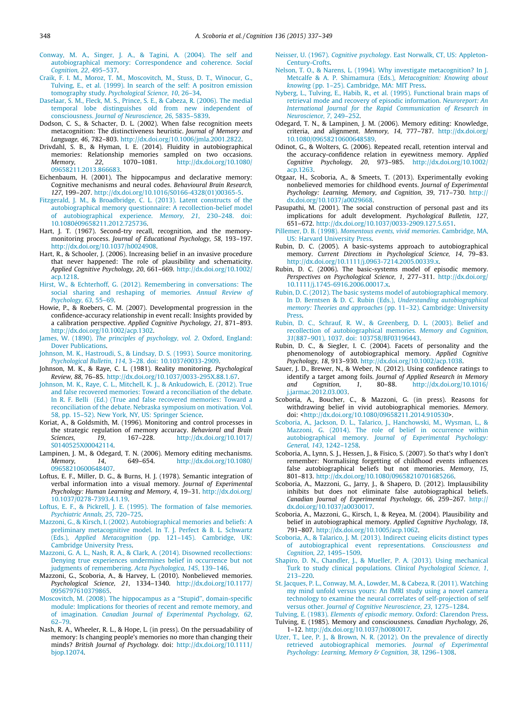- <span id="page-11-0"></span>[Conway, M. A., Singer, J. A., & Tagini, A. \(2004\). The self and](http://refhub.elsevier.com/S0010-0277(14)00248-0/h0085) [autobiographical memory: Correspondence and coherence.](http://refhub.elsevier.com/S0010-0277(14)00248-0/h0085) Social [Cognition, 22](http://refhub.elsevier.com/S0010-0277(14)00248-0/h0085), 495–537.
- [Craik, F. I. M., Moroz, T. M., Moscovitch, M., Stuss, D. T., Winocur, G.,](http://refhub.elsevier.com/S0010-0277(14)00248-0/h0090) [Tulving, E., et al. \(1999\). In search of the self: A positron emission](http://refhub.elsevier.com/S0010-0277(14)00248-0/h0090) tomography study. [Psychological Science, 10](http://refhub.elsevier.com/S0010-0277(14)00248-0/h0090), 26–34.
- [Daselaar, S. M., Fleck, M. S., Prince, S. E., & Cabeza, R. \(2006\). The medial](http://refhub.elsevier.com/S0010-0277(14)00248-0/h0100) [temporal lobe distinguishes old from new independent of](http://refhub.elsevier.com/S0010-0277(14)00248-0/h0100) consciousness. [Journal of Neuroscience, 26](http://refhub.elsevier.com/S0010-0277(14)00248-0/h0100), 5835–5839.
- Dodson, C. S., & Schacter, D. L. (2002). When false recognition meets metacognition: The distinctiveness heuristic. Journal of Memory and Language, 46, 782–803. [http://dx.doi.org/10.1006/jmla.2001.2822.](http://dx.doi.org/10.1006/jmla.2001.2822)
- Drivdahl, S. B., & Hyman, I. E. (2014). Fluidity in autobiographical memories: Relationship memories sampled on two occasions.<br>Memory. 22. 1070–1081. http://dx.doi.org/10.1080/  $http://dx.doi.org/10.1080/$ [09658211.2013.866683.](http://dx.doi.org/10.1080/09658211.2013.866683)
- Eichenbaum, H. (2001). The hippocampus and declarative memory: Cognitive mechanisms and neural codes. Behavioural Brain Research, 127, 199–207. [http://dx.doi.org/10.1016/S0166-4328\(01\)00365-5](http://dx.doi.org/10.1016/S0166-4328(01)00365-5).
- [Fitzgerald, J. M., & Broadbridge, C. L. \(2013\). Latent constructs of the](http://refhub.elsevier.com/S0010-0277(14)00248-0/h0120) [autobiographical memory questionnaire: A recollection-belief model](http://refhub.elsevier.com/S0010-0277(14)00248-0/h0120) [of autobiographical experience.](http://refhub.elsevier.com/S0010-0277(14)00248-0/h0120) Memory, 21, 230–248. doi: [10.1080é09658211.2012.725736.](http://refhub.elsevier.com/S0010-0277(14)00248-0/h0120)
- Hart, J. T. (1967). Second-try recall, recognition, and the memorymonitoring process. Journal of Educational Psychology, 58, 193–197. <http://dx.doi.org/10.1037/h0024908>.
- Hart, R., & Schooler, J. (2006). Increasing belief in an invasive procedure that never happened: The role of plausibility and schematicity. Applied Cognitive Psychology, 20, 661–669. [http://dx.doi.org/10.1002/](http://dx.doi.org/10.1002/acp.1218) [acp.1218](http://dx.doi.org/10.1002/acp.1218).
- [Hirst, W., & Echterhoff, G. \(2012\). Remembering in conversations: The](http://refhub.elsevier.com/S0010-0277(14)00248-0/h0135) [social sharing and reshaping of memories.](http://refhub.elsevier.com/S0010-0277(14)00248-0/h0135) Annual Review of [Psychology, 63](http://refhub.elsevier.com/S0010-0277(14)00248-0/h0135), 55–69.
- Howie, P., & Roebers, C. M. (2007). Developmental progression in the confidence-accuracy relationship in event recall: Insights provided by a calibration perspective. Applied Cognitive Psychology, 21, 871–893. [http://dx.doi.org/10.1002/acp.1302.](http://dx.doi.org/10.1002/acp.1302)
- James, W. (1890). [The principles of psychology, vol. 2](http://refhub.elsevier.com/S0010-0277(14)00248-0/h0145). Oxford, England: [Dover Publications](http://refhub.elsevier.com/S0010-0277(14)00248-0/h0145).
- [Johnson, M. K., Hastroudi, S., & Lindsay, D. S. \(1993\). Source monitoring.](http://refhub.elsevier.com/S0010-0277(14)00248-0/h0150) Psychological Bulletin, 114[, 3–28. doi: 10.1037é0033-2909](http://refhub.elsevier.com/S0010-0277(14)00248-0/h0150).
- Johnson, M. K., & Raye, C. L. (1981). Reality monitoring. Psychological Review, 88, 76–85. <http://dx.doi.org/10.1037/0033-295X.88.1.67>.
- [Johnson, M. K., Raye, C. L., Mitchell, K. J., & Ankudowich, E. \(2012\). True](http://refhub.elsevier.com/S0010-0277(14)00248-0/h0160) [and false recovered memories: Toward a reconciliation of the debate.](http://refhub.elsevier.com/S0010-0277(14)00248-0/h0160) [In R. F. Belli \(Ed.\) \(True and false recovered memories: Toward a](http://refhub.elsevier.com/S0010-0277(14)00248-0/h0160) [reconciliation of the debate. Nebraska symposium on motivation. Vol.](http://refhub.elsevier.com/S0010-0277(14)00248-0/h0160) [58, pp. 15–52\). New York, NY, US: Springer Science.](http://refhub.elsevier.com/S0010-0277(14)00248-0/h0160)
- Koriat, A., & Goldsmith, M. (1996). Monitoring and control processes in the strategic regulation of memory accuracy. Behavioral and Brain Sciences. 19. 167–228. http://dx.doi.org/10.1017/ Sciences, 19, 167–228. [http://dx.doi.org/10.1017/](http://dx.doi.org/10.1017/S0140525X00042114) [S0140525X00042114.](http://dx.doi.org/10.1017/S0140525X00042114)
- Lampinen, J. M., & Odegard, T. N. (2006). Memory editing mechanisms.<br>Memory. 14. 649-654. http://dx.doi.org/10.1080/ Memory, 14, 649–654. [http://dx.doi.org/10.1080/](http://dx.doi.org/10.1080/09658210600648407) [09658210600648407.](http://dx.doi.org/10.1080/09658210600648407)
- Loftus, E. F., Miller, D. G., & Burns, H. J. (1978). Semantic integration of verbal information into a visual memory. Journal of Experimental Psychology: Human Learning and Memory, 4, 19–31. [http://dx.doi.org/](http://dx.doi.org/10.1037/0278-7393.4.1.19) [10.1037/0278-7393.4.1.19.](http://dx.doi.org/10.1037/0278-7393.4.1.19)
- [Loftus, E. F., & Pickrell, J. E. \(1995\). The formation of false memories.](http://refhub.elsevier.com/S0010-0277(14)00248-0/h0180) [Psychiatric Annals, 25](http://refhub.elsevier.com/S0010-0277(14)00248-0/h0180), 720–725.
- [Mazzoni, G., & Kirsch, I. \(2002\). Autobiographical memories and beliefs: A](http://refhub.elsevier.com/S0010-0277(14)00248-0/h0185) [preliminary metacognitive model. In T. J. Perfect & B. L. Schwartz](http://refhub.elsevier.com/S0010-0277(14)00248-0/h0185) (Eds.), Applied Metacognition [\(pp. 121–145\). Cambridge, UK:](http://refhub.elsevier.com/S0010-0277(14)00248-0/h0185) [Cambridge University Press.](http://refhub.elsevier.com/S0010-0277(14)00248-0/h0185)
- [Mazzoni, G. A. L., Nash, R. A., & Clark, A. \(2014\). Disowned recollections:](http://refhub.elsevier.com/S0010-0277(14)00248-0/h0190) [Denying true experiences undermines belief in occurrence but not](http://refhub.elsevier.com/S0010-0277(14)00248-0/h0190) [judgments of remembering.](http://refhub.elsevier.com/S0010-0277(14)00248-0/h0190) Acta Psychologica, 145, 139–146.
- Mazzoni, G., Scoboria, A., & Harvey, L. (2010). Nonbelieved memories. Psychological Science, 21, 1334–1340. [http://dx.doi.org/10.1177/](http://dx.doi.org/10.1177/0956797610379865) [0956797610379865](http://dx.doi.org/10.1177/0956797610379865).
- [Moscovitch, M. \(2008\). The hippocampus as a ''Stupid'', domain-specific](http://refhub.elsevier.com/S0010-0277(14)00248-0/h0200) [module: Implications for theories of recent and remote memory, and](http://refhub.elsevier.com/S0010-0277(14)00248-0/h0200) of imagination. [Canadian Journal of Experimental Psychology, 62](http://refhub.elsevier.com/S0010-0277(14)00248-0/h0200), [62–79](http://refhub.elsevier.com/S0010-0277(14)00248-0/h0200).
- Nash, R. A., Wheeler, R. L., & Hope, L. (in press). On the persuadability of memory: Is changing people's memories no more than changing their minds? British Journal of Psychology. doi: [http://dx.doi.org/10.1111/](http://dx.doi.org/10.1111/bjop.12074) [bjop.12074](http://dx.doi.org/10.1111/bjop.12074).
- Neisser, U. (1967). Cognitive psychology[. East Norwalk, CT, US: Appleton-](http://refhub.elsevier.com/S0010-0277(14)00248-0/h0210)[Century-Crofts.](http://refhub.elsevier.com/S0010-0277(14)00248-0/h0210)
- [Nelson, T. O., & Narens, L. \(1994\). Why investigate metacognition? In J.](http://refhub.elsevier.com/S0010-0277(14)00248-0/h0215) [Metcalfe & A. P. Shimamura \(Eds.\),](http://refhub.elsevier.com/S0010-0277(14)00248-0/h0215) Metacognition: Knowing about knowing [\(pp. 1–25\). Cambridge, MA: MIT Press](http://refhub.elsevier.com/S0010-0277(14)00248-0/h0215).
- [Nyberg, L., Tulving, E., Habib, R., et al. \(1995\). Functional brain maps of](http://refhub.elsevier.com/S0010-0277(14)00248-0/h0220) [retrieval mode and recovery of episodic information.](http://refhub.elsevier.com/S0010-0277(14)00248-0/h0220) Neuroreport: An [International Journal for the Rapid Communication of Research in](http://refhub.elsevier.com/S0010-0277(14)00248-0/h0220) [Neuroscience, 7](http://refhub.elsevier.com/S0010-0277(14)00248-0/h0220), 249–252.
- Odegard, T. N., & Lampinen, J. M. (2006). Memory editing: Knowledge, criteria, and alignment. Memory, 14, 777–787. [http://dx.doi.org/](http://dx.doi.org/10.1080/09658210600648589) [10.1080/09658210600648589](http://dx.doi.org/10.1080/09658210600648589).
- Odinot, G., & Wolters, G. (2006). Repeated recall, retention interval and the accuracy-confidence relation in eyewitness memory. Applied Cognitive Psychology, 20, 973–985. [http://dx.doi.org/10.1002/](http://dx.doi.org/10.1002/acp.1263) [acp.1263](http://dx.doi.org/10.1002/acp.1263).
- Otgaar, H., Scoboria, A., & Smeets, T. (2013). Experimentally evoking nonbelieved memories for childhood events. Journal of Experimental Psychology: Learning, Memory, and Cognition, 39, 717–730. [http://](http://dx.doi.org/10.1037/a0029668) [dx.doi.org/10.1037/a0029668](http://dx.doi.org/10.1037/a0029668).
- Pasupathi, M. (2001). The social construction of personal past and its implications for adult development. Psychological Bulletin, 127, 651–672. [http://dx.doi.org/10.1037/0033-2909.127.5.651.](http://dx.doi.org/10.1037/0033-2909.127.5.651)
- Pillemer, D. B. (1998). [Momentous events, vivid memories](http://refhub.elsevier.com/S0010-0277(14)00248-0/h0245). Cambridge, MA, [US: Harvard University Press](http://refhub.elsevier.com/S0010-0277(14)00248-0/h0245).
- Rubin, D. C. (2005). A basic-systems approach to autobiographical memory. Current Directions in Psychological Science, 14, 79–83. <http://dx.doi.org/10.1111/j.0963-7214.2005.00339.x>.
- Rubin, D. C. (2006). The basic-systems model of episodic memory. Perspectives on Psychological Science, 1, 277–311. [http://dx.doi.org/](http://dx.doi.org/10.1111/j.1745-6916.2006.00017.x) [10.1111/j.1745-6916.2006.00017.x.](http://dx.doi.org/10.1111/j.1745-6916.2006.00017.x)
- [Rubin, D. C. \(2012\). The basic systems model of autobiographical memory.](http://refhub.elsevier.com/S0010-0277(14)00248-0/h0260) [In D. Berntsen & D. C. Rubin \(Eds.\),](http://refhub.elsevier.com/S0010-0277(14)00248-0/h0260) Understanding autobiographical memory: Theories and approaches [\(pp. 11–32\). Cambridge: University](http://refhub.elsevier.com/S0010-0277(14)00248-0/h0260) **[Press.](http://refhub.elsevier.com/S0010-0277(14)00248-0/h0260)**
- [Rubin, D. C., Schrauf, R. W., & Greenberg, D. L. \(2003\). Belief and](http://refhub.elsevier.com/S0010-0277(14)00248-0/h0265) [recollection of autobiographical memories.](http://refhub.elsevier.com/S0010-0277(14)00248-0/h0265) Memory and Cognition, 31[\(887–901\), 1037. doi: 103758/BF03196443](http://refhub.elsevier.com/S0010-0277(14)00248-0/h0265).
- Rubin, D. C., & Siegler, I. C. (2004). Facets of personality and the phenomenology of autobiographical memory. Applied Cognitive Psychology, 18, 913–930. [http://dx.doi.org/10.1002/acp.1038.](http://dx.doi.org/10.1002/acp.1038)
- Sauer, J. D., Brewer, N., & Weber, N. (2012). Using confidence ratings to identify a target among foils. Journal of Applied Research in Memory and Cognition, 1, 80–88. [http://dx.doi.org/10.1016/](http://dx.doi.org/10.1016/j.jarmac.2012.03.003) [j.jarmac.2012.03.003](http://dx.doi.org/10.1016/j.jarmac.2012.03.003).
- Scoboria, A., Boucher, C., & Mazzoni, G. (in press). Reasons for withdrawing belief in vivid autobiographical memories. Memory. doi: <<http://dx.doi.org/10.1080/09658211.2014.910530>>.
- [Scoboria, A., Jackson, D. L., Talarico, J., Hanchowski, M., Wysman, L., &](http://refhub.elsevier.com/S0010-0277(14)00248-0/h0285) [Mazzoni, G. \(2014\). The role of belief in occurrence within](http://refhub.elsevier.com/S0010-0277(14)00248-0/h0285) autobiographical memory. [Journal of Experimental Psychology:](http://refhub.elsevier.com/S0010-0277(14)00248-0/h0285) General, 143[, 1242–1258.](http://refhub.elsevier.com/S0010-0277(14)00248-0/h0285)
- Scoboria, A., Lynn, S. J., Hessen, J., & Fisico, S. (2007). So that's why I don't remember: Normalising forgetting of childhood events influences false autobiographical beliefs but not memories. Memory, 15, 801–813. [http://dx.doi.org/10.1080/09658210701685266.](http://dx.doi.org/10.1080/09658210701685266)
- Scoboria, A., Mazzoni, G., Jarry, J., & Shapero, D. (2012). Implausibility inhibits but does not eliminate false autobiographical beliefs. Canadian Journal of Experimental Psychology, 66, 259–267. [http://](http://dx.doi.org/10.1037/a0030017) [dx.doi.org/10.1037/a0030017](http://dx.doi.org/10.1037/a0030017).
- Scoboria, A., Mazzoni, G., Kirsch, I., & Reyea, M. (2004). Plausibility and belief in autobiographical memory. Applied Cognitive Psychology, 18, 791–807. <http://dx.doi.org/10.1005/acp.1062>.
- [Scoboria, A., & Talarico, J. M. \(2013\). Indirect cueing elicits distinct types](http://refhub.elsevier.com/S0010-0277(14)00248-0/h0305) [of autobiographical event representations.](http://refhub.elsevier.com/S0010-0277(14)00248-0/h0305) Consciousness and Cognition, 22[, 1495–1509.](http://refhub.elsevier.com/S0010-0277(14)00248-0/h0305)
- [Shapiro, D. N., Chandler, J., & Mueller, P. A. \(2013\). Using mechanical](http://refhub.elsevier.com/S0010-0277(14)00248-0/h0310) [Turk to study clinical populations.](http://refhub.elsevier.com/S0010-0277(14)00248-0/h0310) Clinical Psychological Science, 1, [213–220.](http://refhub.elsevier.com/S0010-0277(14)00248-0/h0310)
- [St. Jacques, P. L., Conway, M. A., Lowder, M., & Cabeza, R. \(2011\). Watching](http://refhub.elsevier.com/S0010-0277(14)00248-0/h0315) [my mind unfold versus yours: An fMRI study using a novel camera](http://refhub.elsevier.com/S0010-0277(14)00248-0/h0315) [technology to examine the neural correlates of self-projection of self](http://refhub.elsevier.com/S0010-0277(14)00248-0/h0315) versus other. [Journal of Cognitive Neuroscience, 23](http://refhub.elsevier.com/S0010-0277(14)00248-0/h0315), 1275–1284.
- Tulving, E. (1983). [Elements of episodic memory](http://refhub.elsevier.com/S0010-0277(14)00248-0/h0325). Oxford: Clarendon Press. Tulving, E. (1985). Memory and consciousness. Canadian Psychology, 26, 1–12. <http://dx.doi.org/10.1037/h0080017>.
- [Uzer, T., Lee, P. J., & Brown, N. R. \(2012\). On the prevalence of directly](http://refhub.elsevier.com/S0010-0277(14)00248-0/h0335) [retrieved autobiographical memories.](http://refhub.elsevier.com/S0010-0277(14)00248-0/h0335) Journal of Experimental [Psychology: Learning, Memory & Cognition, 38](http://refhub.elsevier.com/S0010-0277(14)00248-0/h0335), 1296–1308.